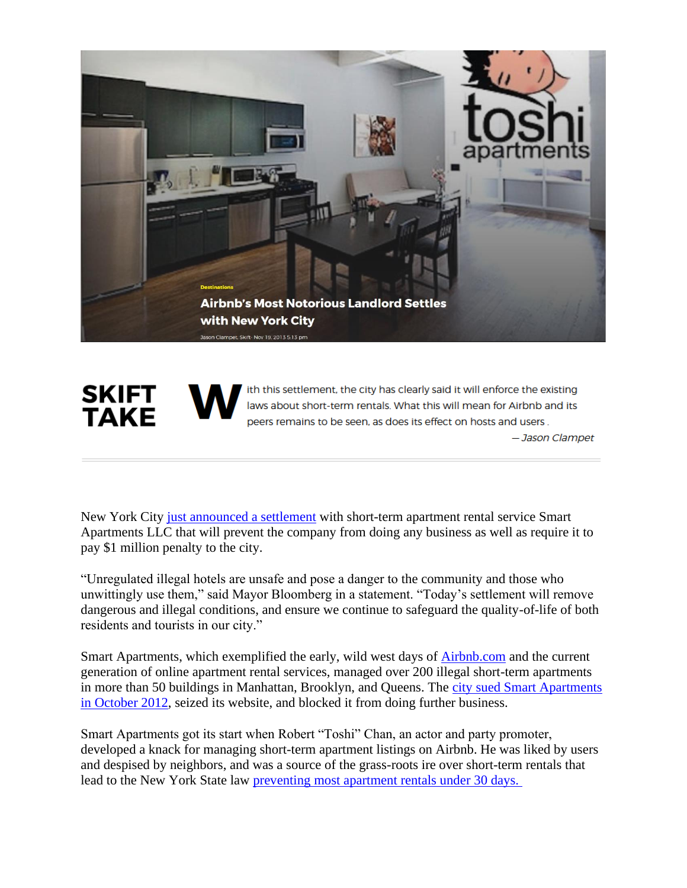

ith this settlement, the city has clearly said it will enforce the existing **SKIFT** laws about short-term rentals. What this will mean for Airbnb and its **TAKE** peers remains to be seen, as does its effect on hosts and users. - Jason Clampet

New York City [just announced a settlement](http://www1.nyc.gov/office-of-the-mayor/news/372-13/mayor-bloomberg-chief-policy-advisor-feinblatt-one-million-dollar-settlement-and/) with short-term apartment rental service Smart Apartments LLC that will prevent the company from doing any business as well as require it to pay \$1 million penalty to the city.

"Unregulated illegal hotels are unsafe and pose a danger to the community and those who unwittingly use them," said Mayor Bloomberg in a statement. "Today's settlement will remove dangerous and illegal conditions, and ensure we continue to safeguard the quality-of-life of both residents and tourists in our city."

Smart Apartments, which exemplified the early, wild west days of [Airbnb.com](http://airbnb.com/) and the current generation of online apartment rental services, managed over 200 illegal short-term apartments in more than 50 buildings in Manhattan, Brooklyn, and Queens. The [city sued Smart Apartments](http://www.nyc.gov/portal/site/nycgov/menuitem.c0935b9a57bb4ef3daf2f1c701c789a0/index.jsp?pageID=mayor_press_release&catID=1194&doc_name=http%3A%2F%2Fwww.nyc.gov%2Fhtml%2Fom%2Fhtml%2F2012b%2Fpr366-12.html&cc=unused1978&rc=1194&ndi=1)  [in October 2012,](http://www.nyc.gov/portal/site/nycgov/menuitem.c0935b9a57bb4ef3daf2f1c701c789a0/index.jsp?pageID=mayor_press_release&catID=1194&doc_name=http%3A%2F%2Fwww.nyc.gov%2Fhtml%2Fom%2Fhtml%2F2012b%2Fpr366-12.html&cc=unused1978&rc=1194&ndi=1) seized its website, and blocked it from doing further business.

Smart Apartments got its start when Robert "Toshi" Chan, an actor and party promoter, developed a knack for managing short-term apartment listings on Airbnb. He was liked by users and despised by neighbors, and was a source of the grass-roots ire over short-term rentals that lead to the New York State law [preventing most apartment rentals under 30 days.](http://skift.com/2013/01/07/airbnbs-growing-pains-mirrored-in-new-york-city-where-half-its-listings-are-illegal-rentals/)